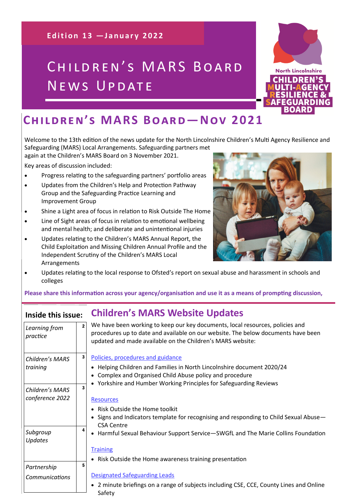**Edition 13 - January 2022** 

# CHILDREN'S MARS BOARD NEWS UPDATE



Welcome to the 13th edition of the news update for the North Lincolnshire Children's Multi Agency Resilience and

Safeguarding (MARS) Local Arrangements. Safeguarding partners met again at the Children's MARS Board on 3 November 2021.

Key areas of discussion included:

- Progress relating to the safeguarding partners' portfolio areas
- Updates from the Children's Help and Protection Pathway Group and the Safeguarding Practice Learning and Improvement Group
- Shine a Light area of focus in relation to Risk Outside The Home
- Line of Sight areas of focus in relation to emotional wellbeing and mental health; and deliberate and unintentional injuries
- Updates relating to the Children's MARS Annual Report, the Child Exploitation and Missing Children Annual Profile and the Independent Scrutiny of the Children's MARS Local Arrangements



• Updates relating to the local response to Ofsted's report on sexual abuse and harassment in schools and colleges

**Please share this information across your agency/organisation and use it as a means of prompting discussion,** 

# **Inside this issue: Children's MARS Website Updates**

| Learning from<br>practice | We have been working to keep our key documents, local resources, policies and<br>$\overline{2}$<br>procedures up to date and available on our website. The below documents have been<br>updated and made available on the Children's MARS website: |
|---------------------------|----------------------------------------------------------------------------------------------------------------------------------------------------------------------------------------------------------------------------------------------------|
| Children's MARS           | $\mathbf{3}$<br>Policies, procedures and guidance                                                                                                                                                                                                  |
| training                  | • Helping Children and Families in North Lincolnshire document 2020/24<br>Complex and Organised Child Abuse policy and procedure                                                                                                                   |
| Children's MARS           | • Yorkshire and Humber Working Principles for Safeguarding Reviews<br>3                                                                                                                                                                            |
| conference 2022           | <b>Resources</b>                                                                                                                                                                                                                                   |
|                           | • Risk Outside the Home toolkit                                                                                                                                                                                                                    |
|                           | • Signs and Indicators template for recognising and responding to Child Sexual Abuse-<br><b>CSA Centre</b>                                                                                                                                         |
| Subgroup<br>Updates       | 4<br>• Harmful Sexual Behaviour Support Service-SWGfL and The Marie Collins Foundation                                                                                                                                                             |
|                           | <b>Training</b>                                                                                                                                                                                                                                    |
|                           | • Risk Outside the Home awareness training presentation                                                                                                                                                                                            |
| Partnership               | 5                                                                                                                                                                                                                                                  |
| Communications            | <b>Designated Safeguarding Leads</b>                                                                                                                                                                                                               |
|                           | • 2 minute briefings on a range of subjects including CSE, CCE, County Lines and Online<br>Safety                                                                                                                                                  |

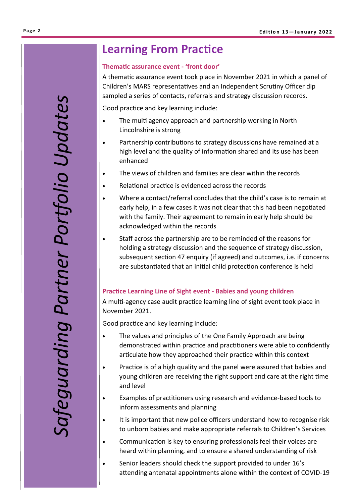# *Safeguarding Partner Portfolio Updates* afeguarding Partner Portfolio Updates

# **Learning From Practice**

### **Thematic assurance event - 'front door'**

A thematic assurance event took place in November 2021 in which a panel of Children's MARS representatives and an Independent Scrutiny Officer dip sampled a series of contacts, referrals and strategy discussion records.

Good practice and key learning include:

- The multi agency approach and partnership working in North Lincolnshire is strong
- Partnership contributions to strategy discussions have remained at a high level and the quality of information shared and its use has been enhanced
- The views of children and families are clear within the records
- Relational practice is evidenced across the records
- Where a contact/referral concludes that the child's case is to remain at early help, in a few cases it was not clear that this had been negotiated with the family. Their agreement to remain in early help should be acknowledged within the records
- Staff across the partnership are to be reminded of the reasons for holding a strategy discussion and the sequence of strategy discussion, subsequent section 47 enquiry (if agreed) and outcomes, i.e. if concerns are substantiated that an initial child protection conference is held

## **Practice Learning Line of Sight event - Babies and young children**

A multi-agency case audit practice learning line of sight event took place in November 2021.

Good practice and key learning include:

- The values and principles of the One Family Approach are being demonstrated within practice and practitioners were able to confidently articulate how they approached their practice within this context
- Practice is of a high quality and the panel were assured that babies and young children are receiving the right support and care at the right time and level
- Examples of practitioners using research and evidence-based tools to inform assessments and planning
- It is important that new police officers understand how to recognise risk to unborn babies and make appropriate referrals to Children's Services
- Communication is key to ensuring professionals feel their voices are heard within planning, and to ensure a shared understanding of risk
- Senior leaders should check the support provided to under 16's attending antenatal appointments alone within the context of COVID-19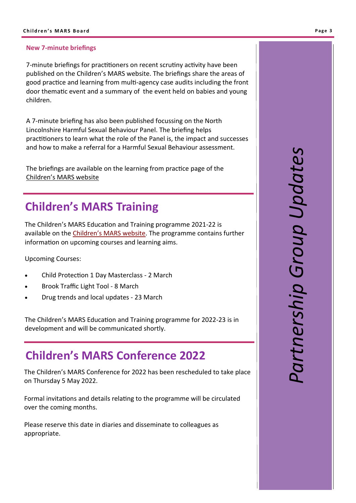### **New 7-minute briefings**

7-minute briefings for practitioners on recent scrutiny activity have been published on the Children's MARS website. The briefings share the areas of good practice and learning from multi-agency case audits including the front door thematic event and a summary of the event held on babies and young children.

A 7-minute briefing has also been published focussing on the North Lincolnshire Harmful Sexual Behaviour Panel. The briefing helps practitioners to learn what the role of the Panel is, the impact and successes and how to make a referral for a Harmful Sexual Behaviour assessment.

The briefings are available on the learning from practice page of the Children'[s MARS website](http://www.northlincscmars.co.uk/learning-from-practice)

# **Children's MARS Training**

The Children's MARS Education and Training programme 2021-22 is available on the Children'[s MARS website.](http://www.northlincscmars.co.uk/training) The programme contains further information on upcoming courses and learning aims.

Upcoming Courses:

- Child Protection 1 Day Masterclass 2 March
- Brook Traffic Light Tool 8 March
- Drug trends and local updates 23 March

The Children's MARS Education and Training programme for 2022-23 is in development and will be communicated shortly.

# **Children's MARS Conference 2022**

The Children's MARS Conference for 2022 has been rescheduled to take place on Thursday 5 May 2022.

Formal invitations and details relating to the programme will be circulated over the coming months.

Please reserve this date in diaries and disseminate to colleagues as appropriate.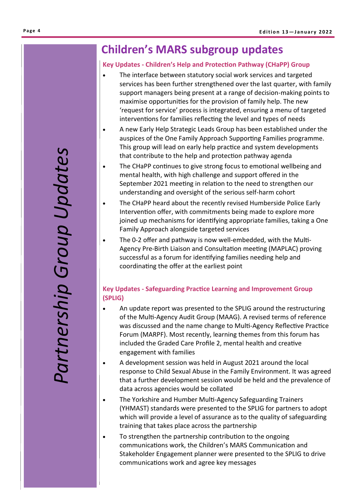# **Children's MARS subgroup updates**

### **Key Updates - Children's Help and Protection Pathway (CHaPP) Group**

- The interface between statutory social work services and targeted services has been further strengthened over the last quarter, with family support managers being present at a range of decision-making points to maximise opportunities for the provision of family help. The new 'request for service' process is integrated, ensuring a menu of targeted interventions for families reflecting the level and types of needs
- A new Early Help Strategic Leads Group has been established under the auspices of the One Family Approach Supporting Families programme. This group will lead on early help practice and system developments that contribute to the help and protection pathway agenda
- The CHaPP continues to give strong focus to emotional wellbeing and mental health, with high challenge and support offered in the September 2021 meeting in relation to the need to strengthen our understanding and oversight of the serious self-harm cohort
- The CHaPP heard about the recently revised Humberside Police Early Intervention offer, with commitments being made to explore more joined up mechanisms for identifying appropriate families, taking a One Family Approach alongside targeted services
- The 0-2 offer and pathway is now well-embedded, with the Multi-Agency Pre-Birth Liaison and Consultation meeting (MAPLAC) proving successful as a forum for identifying families needing help and coordinating the offer at the earliest point

## **Key Updates - Safeguarding Practice Learning and Improvement Group (SPLIG)**

- An update report was presented to the SPLIG around the restructuring of the Multi-Agency Audit Group (MAAG). A revised terms of reference was discussed and the name change to Multi-Agency Reflective Practice Forum (MARPF). Most recently, learning themes from this forum has included the Graded Care Profile 2, mental health and creative engagement with families
- A development session was held in August 2021 around the local response to Child Sexual Abuse in the Family Environment. It was agreed that a further development session would be held and the prevalence of data across agencies would be collated
- The Yorkshire and Humber Multi-Agency Safeguarding Trainers (YHMAST) standards were presented to the SPLIG for partners to adopt which will provide a level of assurance as to the quality of safeguarding training that takes place across the partnership
- To strengthen the partnership contribution to the ongoing communications work, the Children's MARS Communication and Stakeholder Engagement planner were presented to the SPLIG to drive communications work and agree key messages

# Partnership Group Updates *Partnership Group Updates*